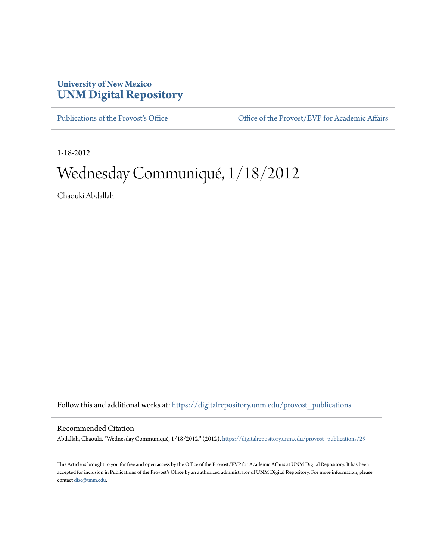## **University of New Mexico [UNM Digital Repository](https://digitalrepository.unm.edu?utm_source=digitalrepository.unm.edu%2Fprovost_publications%2F29&utm_medium=PDF&utm_campaign=PDFCoverPages)**

[Publications of the Provost's Office](https://digitalrepository.unm.edu/provost_publications?utm_source=digitalrepository.unm.edu%2Fprovost_publications%2F29&utm_medium=PDF&utm_campaign=PDFCoverPages) Office [Office of the Provost/EVP for Academic Affairs](https://digitalrepository.unm.edu/ofc_provost?utm_source=digitalrepository.unm.edu%2Fprovost_publications%2F29&utm_medium=PDF&utm_campaign=PDFCoverPages)

1-18-2012

# Wednesday Communiqué, 1/18/2012

Chaouki Abdallah

Follow this and additional works at: [https://digitalrepository.unm.edu/provost\\_publications](https://digitalrepository.unm.edu/provost_publications?utm_source=digitalrepository.unm.edu%2Fprovost_publications%2F29&utm_medium=PDF&utm_campaign=PDFCoverPages)

#### Recommended Citation

Abdallah, Chaouki. "Wednesday Communiqué, 1/18/2012." (2012). [https://digitalrepository.unm.edu/provost\\_publications/29](https://digitalrepository.unm.edu/provost_publications/29?utm_source=digitalrepository.unm.edu%2Fprovost_publications%2F29&utm_medium=PDF&utm_campaign=PDFCoverPages)

This Article is brought to you for free and open access by the Office of the Provost/EVP for Academic Affairs at UNM Digital Repository. It has been accepted for inclusion in Publications of the Provost's Office by an authorized administrator of UNM Digital Repository. For more information, please contact [disc@unm.edu.](mailto:disc@unm.edu)